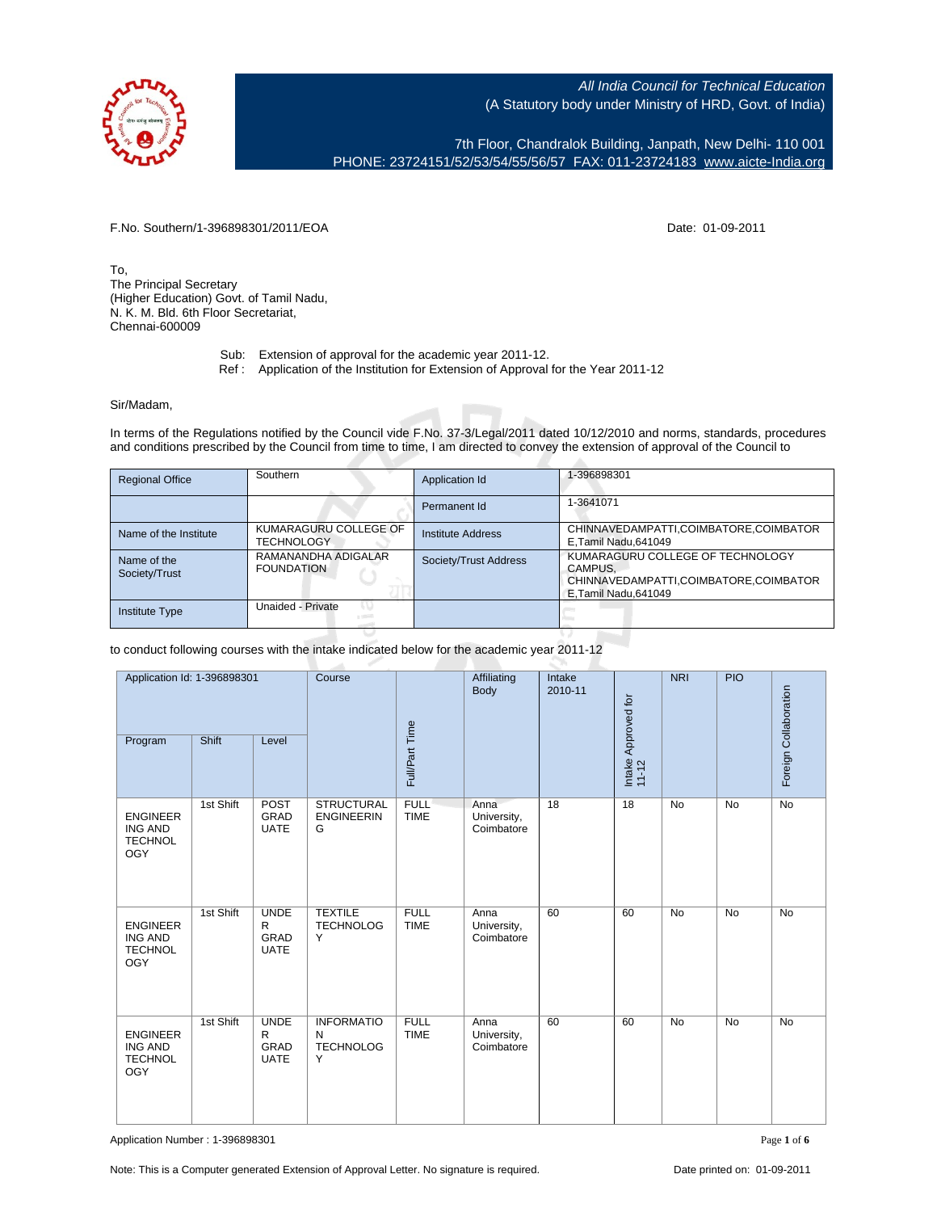7th Floor, Chandralok Building, Janpath, New Delhi- 110 001 PHONE: 23724151/52/53/54/55/56/57 FAX: 011-23724183 [www.aicte-India.org](http://www.aicte-India.org)

F.No. Southern/1-396898301/2011/EOA Date: 01-09-2011

To, The Principal Secretary (Higher Education) Govt. of Tamil Nadu, N. K. M. Bld. 6th Floor Secretariat, Chennai-600009

- Sub: Extension of approval for the academic year 2011-12.
- Ref : Application of the Institution for Extension of Approval for the Year 2011-12

Sir/Madam,

In terms of the Regulations notified by the Council vide F.No. 37-3/Legal/2011 dated 10/12/2010 and norms, standards, procedures and conditions prescribed by the Council from time to time, I am directed to convey the extension of approval of the Council to

| <b>Regional Office</b>       | Southern                                   | Application Id        | 1-396898301                                                                                                 |
|------------------------------|--------------------------------------------|-----------------------|-------------------------------------------------------------------------------------------------------------|
|                              |                                            | Permanent Id          | 1-3641071                                                                                                   |
| Name of the Institute        | KUMARAGURU COLLEGE OF<br><b>TECHNOLOGY</b> | Institute Address     | CHINNAVEDAMPATTI,COIMBATORE,COIMBATOR<br>E, Tamil Nadu, 641049                                              |
| Name of the<br>Society/Trust | RAMANANDHA ADIGALAR<br><b>FOUNDATION</b>   | Society/Trust Address | KUMARAGURU COLLEGE OF TECHNOLOGY<br>CAMPUS.<br>CHINNAVEDAMPATTI,COIMBATORE,COIMBATOR<br>E,Tamil Nadu,641049 |
| Institute Type               | Unaided - Private<br>$\frac{1}{2}$         |                       |                                                                                                             |

to conduct following courses with the intake indicated below for the academic year 2011-12

| Application Id: 1-396898301<br>Program                            | Shift     | Level                                                     | Course                                          | Full/Part Time             | Affiliating<br>Body               | Intake<br>2010-11 | Intake Approved for<br>11-12 | <b>NRI</b> | <b>PIO</b> | Foreign Collaboration |
|-------------------------------------------------------------------|-----------|-----------------------------------------------------------|-------------------------------------------------|----------------------------|-----------------------------------|-------------------|------------------------------|------------|------------|-----------------------|
| <b>ENGINEER</b><br><b>ING AND</b><br><b>TECHNOL</b><br><b>OGY</b> | 1st Shift | <b>POST</b><br>GRAD<br><b>UATE</b>                        | <b>STRUCTURAL</b><br><b>ENGINEERIN</b><br>G     | <b>FULL</b><br><b>TIME</b> | Anna<br>University,<br>Coimbatore | $\overline{18}$   | $\overline{18}$              | <b>No</b>  | <b>No</b>  | $\overline{No}$       |
| <b>ENGINEER</b><br><b>ING AND</b><br><b>TECHNOL</b><br><b>OGY</b> | 1st Shift | <b>UNDE</b><br>$\mathsf{R}$<br><b>GRAD</b><br><b>UATE</b> | <b>TEXTILE</b><br><b>TECHNOLOG</b><br>Y         | <b>FULL</b><br><b>TIME</b> | Anna<br>University,<br>Coimbatore | 60                | 60                           | <b>No</b>  | <b>No</b>  | <b>No</b>             |
| <b>ENGINEER</b><br><b>ING AND</b><br><b>TECHNOL</b><br><b>OGY</b> | 1st Shift | <b>UNDE</b><br>R<br>GRAD<br><b>UATE</b>                   | <b>INFORMATIO</b><br>N<br><b>TECHNOLOG</b><br>Y | <b>FULL</b><br><b>TIME</b> | Anna<br>University,<br>Coimbatore | 60                | 60                           | <b>No</b>  | <b>No</b>  | <b>No</b>             |

Application Number : 1-396898301 Page **1** of **6**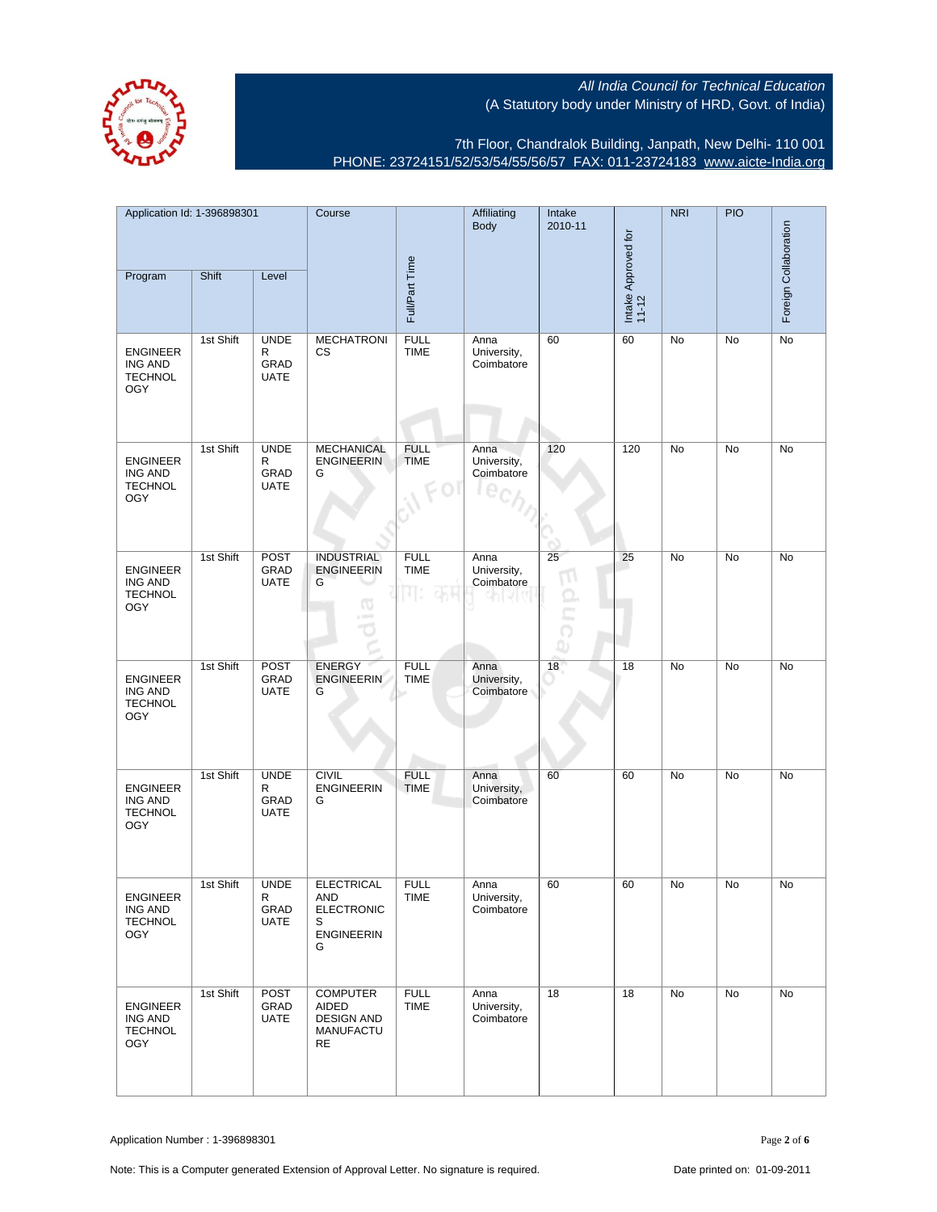

7th Floor, Chandralok Building, Janpath, New Delhi- 110 001 PHONE: 23724151/52/53/54/55/56/57 FAX: 011-23724183 [www.aicte-India.org](http://www.aicte-India.org)

| Application Id: 1-396898301                                       |           | Course                                  |                                                                              | Affiliating<br><b>Body</b> | Intake<br>2010-11                 |         | <b>NRI</b>                   | <b>PIO</b> |    |                       |
|-------------------------------------------------------------------|-----------|-----------------------------------------|------------------------------------------------------------------------------|----------------------------|-----------------------------------|---------|------------------------------|------------|----|-----------------------|
| Program                                                           | Shift     | Level                                   |                                                                              | Full/Part Time             |                                   |         | Intake Approved for<br>11-12 |            |    | Foreign Collaboration |
| <b>ENGINEER</b><br>ING AND<br><b>TECHNOL</b><br><b>OGY</b>        | 1st Shift | <b>UNDE</b><br>R<br>GRAD<br><b>UATE</b> | <b>MECHATRONI</b><br>CS                                                      | <b>FULL</b><br><b>TIME</b> | Anna<br>University,<br>Coimbatore | 60      | 60                           | No         | No | No                    |
| <b>ENGINEER</b><br><b>ING AND</b><br><b>TECHNOL</b><br><b>OGY</b> | 1st Shift | <b>UNDE</b><br>R<br>GRAD<br><b>UATE</b> | <b>MECHANICAL</b><br><b>ENGINEERIN</b><br>G                                  | <b>FULL</b><br><b>TIME</b> | Anna<br>University,<br>Coimbatore | 120     | 120                          | No         | No | No                    |
| <b>ENGINEER</b><br><b>ING AND</b><br><b>TECHNOL</b><br><b>OGY</b> | 1st Shift | <b>POST</b><br>GRAD<br><b>UATE</b>      | <b>INDUSTRIAL</b><br><b>ENGINEERIN</b><br>G<br>Φ<br>$\sim$                   | <b>FULL</b><br><b>TIME</b> | Anna<br>University,<br>Coimbatore | 25<br>ω | 25                           | No         | No | No                    |
| <b>ENGINEER</b><br><b>ING AND</b><br><b>TECHNOL</b><br><b>OGY</b> | 1st Shift | <b>POST</b><br>GRAD<br><b>UATE</b>      | <b>ENERGY</b><br><b>ENGINEERIN</b><br>G                                      | <b>FULL</b><br><b>TIME</b> | Anna<br>University,<br>Coimbatore | 18      | 18                           | No         | No | No                    |
| <b>ENGINEER</b><br><b>ING AND</b><br><b>TECHNOL</b><br><b>OGY</b> | 1st Shift | <b>UNDE</b><br>R<br>GRAD<br><b>UATE</b> | <b>CIVIL</b><br><b>ENGINEERIN</b><br>G                                       | <b>FULL</b><br><b>TIME</b> | Anna<br>University,<br>Coimbatore | 60      | 60                           | No         | No | No                    |
| ENGINEER<br>ING AND<br><b>TECHNOL</b><br><b>OGY</b>               | 1st Shift | <b>UNDE</b><br>ĸ<br>GRAD<br><b>UATE</b> | <b>ELECTRICAL</b><br>AND<br><b>ELECTRONIC</b><br>S<br><b>ENGINEERIN</b><br>G | <b>FULL</b><br>TIME        | Anna<br>University,<br>Coimbatore | 60      | 60                           | No         | No | No                    |
| ENGINEER<br>ING AND<br><b>TECHNOL</b><br><b>OGY</b>               | 1st Shift | POST<br>GRAD<br><b>UATE</b>             | <b>COMPUTER</b><br>AIDED<br><b>DESIGN AND</b><br>MANUFACTU<br>RE             | <b>FULL</b><br><b>TIME</b> | Anna<br>University,<br>Coimbatore | 18      | 18                           | No         | No | No                    |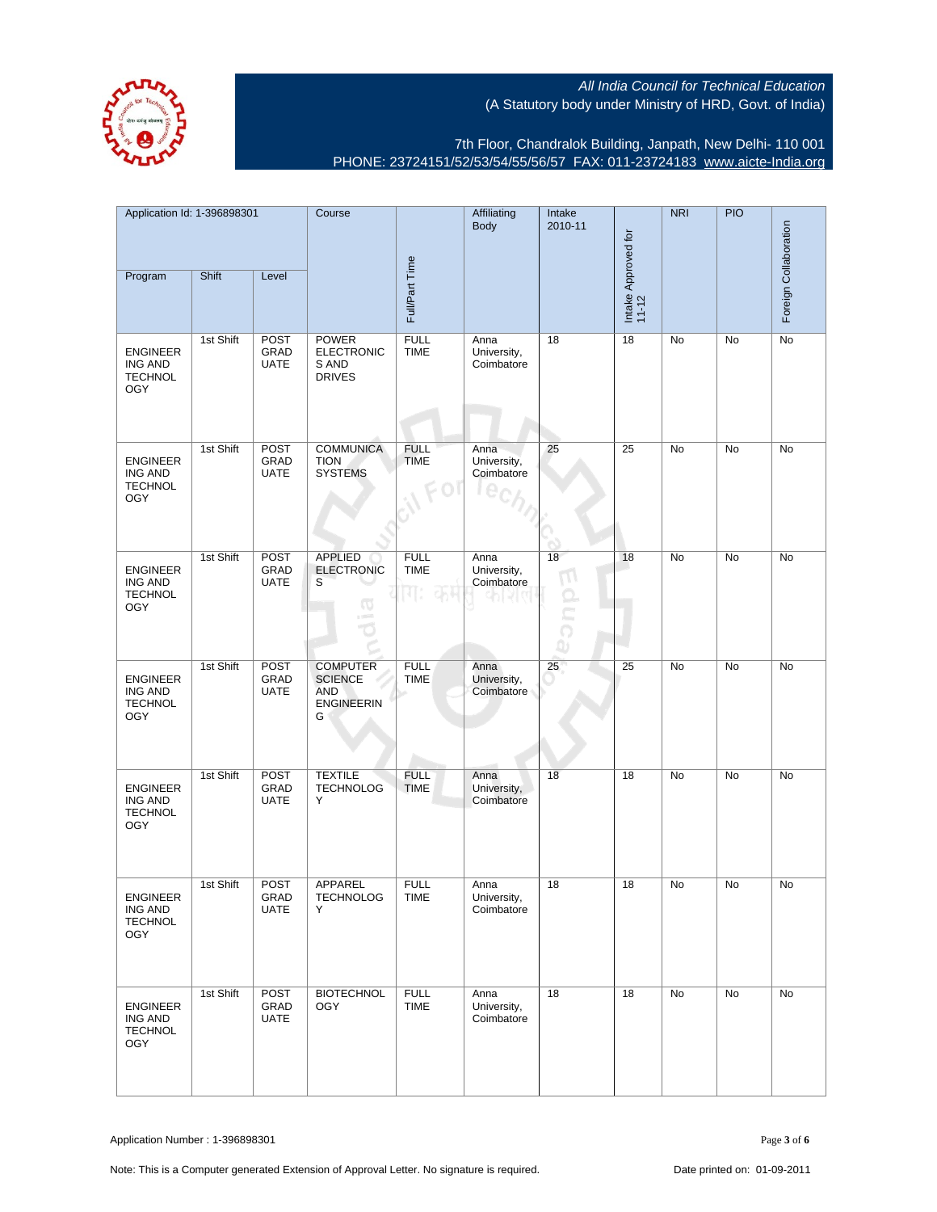

7th Floor, Chandralok Building, Janpath, New Delhi- 110 001 PHONE: 23724151/52/53/54/55/56/57 FAX: 011-23724183 [www.aicte-India.org](http://www.aicte-India.org)

|                                                                   | Application Id: 1-396898301 |                                    | Course                                                                    | Affiliating<br><b>Body</b> |                                   | Intake<br>2010-11 |                              | <b>NRI</b> | <b>PIO</b> | Foreign Collaboration |
|-------------------------------------------------------------------|-----------------------------|------------------------------------|---------------------------------------------------------------------------|----------------------------|-----------------------------------|-------------------|------------------------------|------------|------------|-----------------------|
| Program                                                           | Shift                       | Level                              |                                                                           | Full/Part Time             |                                   |                   | Intake Approved for<br>11-12 |            |            |                       |
| <b>ENGINEER</b><br>ING AND<br><b>TECHNOL</b><br><b>OGY</b>        | 1st Shift                   | <b>POST</b><br>GRAD<br><b>UATE</b> | <b>POWER</b><br><b>ELECTRONIC</b><br>S AND<br><b>DRIVES</b>               | <b>FULL</b><br><b>TIME</b> | Anna<br>University,<br>Coimbatore | 18                | 18                           | No         | No         | No                    |
| <b>ENGINEER</b><br><b>ING AND</b><br><b>TECHNOL</b><br><b>OGY</b> | 1st Shift                   | <b>POST</b><br>GRAD<br><b>UATE</b> | <b>COMMUNICA</b><br><b>TION</b><br><b>SYSTEMS</b>                         | <b>FULL</b><br><b>TIME</b> | Anna<br>University,<br>Coimbatore | 25                | 25                           | No         | No         | No                    |
| <b>ENGINEER</b><br><b>ING AND</b><br><b>TECHNOL</b><br><b>OGY</b> | 1st Shift                   | <b>POST</b><br>GRAD<br><b>UATE</b> | <b>APPLIED</b><br><b>ELECTRONIC</b><br>S<br>$\sigma$<br>$\sim$            | <b>FULL</b><br><b>TIME</b> | Anna<br>University,<br>Coimbatore | 18<br>N<br>ω      | 18                           | No         | No         | No                    |
| <b>ENGINEER</b><br><b>ING AND</b><br><b>TECHNOL</b><br><b>OGY</b> | 1st Shift                   | <b>POST</b><br>GRAD<br><b>UATE</b> | <b>COMPUTER</b><br><b>SCIENCE</b><br><b>AND</b><br><b>ENGINEERIN</b><br>G | <b>FULL</b><br><b>TIME</b> | Anna<br>University,<br>Coimbatore | 25                | 25                           | No         | No         | No                    |
| <b>ENGINEER</b><br><b>ING AND</b><br><b>TECHNOL</b><br><b>OGY</b> | 1st Shift                   | <b>POST</b><br>GRAD<br><b>UATE</b> | <b>TEXTILE</b><br><b>TECHNOLOG</b><br>Y                                   | <b>FULL</b><br><b>TIME</b> | Anna<br>University,<br>Coimbatore | 18                | 18                           | No         | No         | No                    |
| ENGINEER<br>ING AND<br><b>TECHNOL</b><br><b>OGY</b>               | 1st Shift                   | <b>POST</b><br>GRAD<br><b>UATE</b> | APPAREL<br>TECHNOLOG<br>Y                                                 | <b>FULL</b><br>TIME        | Anna<br>University,<br>Coimbatore | 18                | 18                           | No         | No         | No                    |
| <b>ENGINEER</b><br><b>ING AND</b><br><b>TECHNOL</b><br><b>OGY</b> | 1st Shift                   | POST<br>GRAD<br><b>UATE</b>        | <b>BIOTECHNOL</b><br><b>OGY</b>                                           | <b>FULL</b><br><b>TIME</b> | Anna<br>University,<br>Coimbatore | 18                | 18                           | No         | No         | No                    |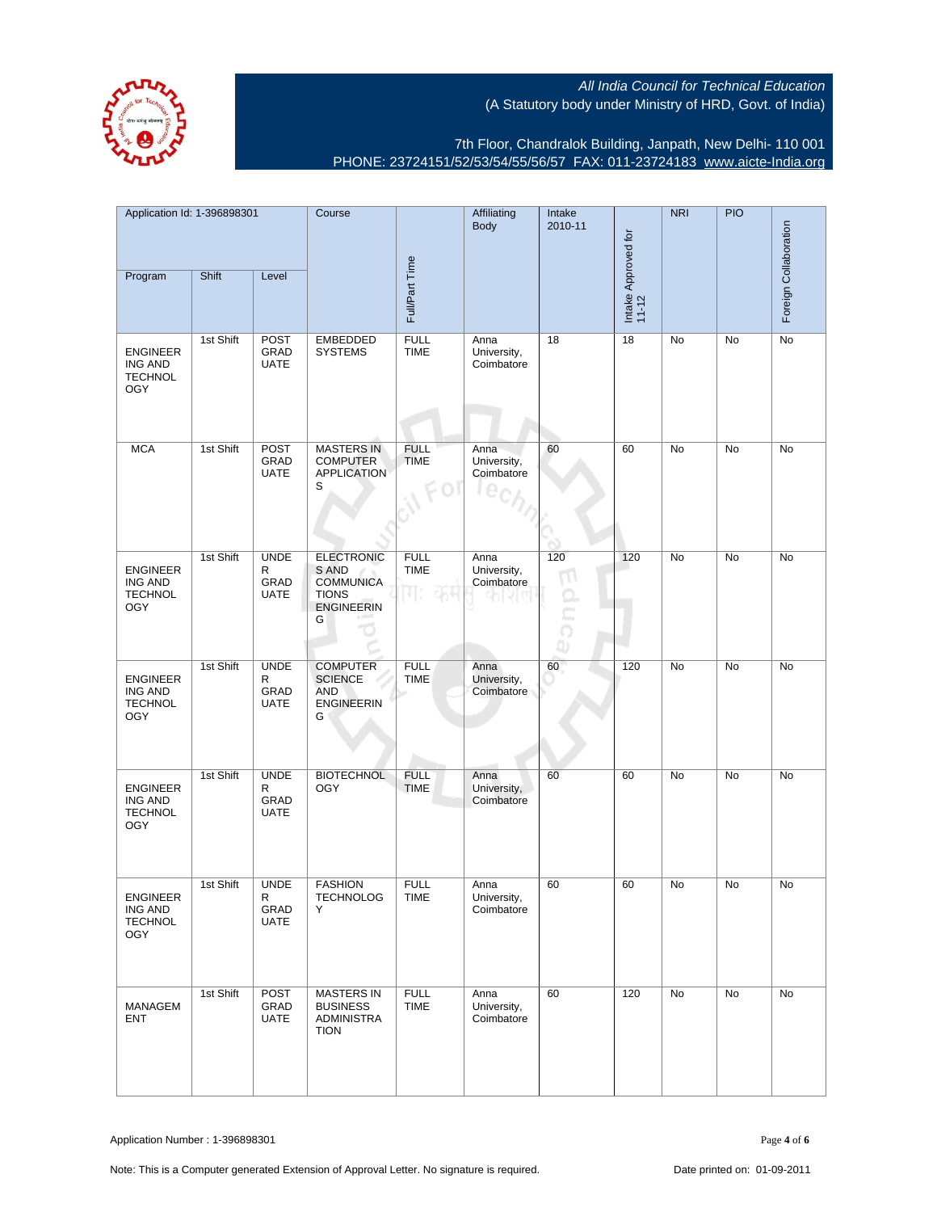

7th Floor, Chandralok Building, Janpath, New Delhi- 110 001 PHONE: 23724151/52/53/54/55/56/57 FAX: 011-23724183 [www.aicte-India.org](http://www.aicte-India.org)

|                                                                   | Application Id: 1-396898301 |                                         | Course                                                                                   |                            | Affiliating<br>Body               | Intake<br>2010-11          |                              | <b>NRI</b> | <b>PIO</b> | Foreign Collaboration |
|-------------------------------------------------------------------|-----------------------------|-----------------------------------------|------------------------------------------------------------------------------------------|----------------------------|-----------------------------------|----------------------------|------------------------------|------------|------------|-----------------------|
| Program                                                           | Shift                       | Level                                   |                                                                                          | Full/Part Time             |                                   |                            | Intake Approved for<br>11-12 |            |            |                       |
| <b>ENGINEER</b><br>ING AND<br><b>TECHNOL</b><br><b>OGY</b>        | 1st Shift                   | <b>POST</b><br>GRAD<br><b>UATE</b>      | EMBEDDED<br><b>SYSTEMS</b>                                                               | <b>FULL</b><br><b>TIME</b> | Anna<br>University,<br>Coimbatore | 18                         | 18                           | No         | No         | No                    |
| <b>MCA</b>                                                        | 1st Shift                   | <b>POST</b><br>GRAD<br><b>UATE</b>      | <b>MASTERS IN</b><br><b>COMPUTER</b><br><b>APPLICATION</b><br>S                          | <b>FULL</b><br><b>TIME</b> | Anna<br>University,<br>Coimbatore | 60                         | 60                           | No         | No         | No                    |
| <b>ENGINEER</b><br><b>ING AND</b><br><b>TECHNOL</b><br><b>OGY</b> | 1st Shift                   | <b>UNDE</b><br>R<br>GRAD<br><b>UATE</b> | <b>ELECTRONIC</b><br>S AND<br><b>COMMUNICA</b><br><b>TIONS</b><br><b>ENGINEERIN</b><br>G | <b>FULL</b><br><b>TIME</b> | Anna<br>University,<br>Coimbatore | 120<br>$\mathcal{U}$<br>Ūĵ | 120                          | No         | No         | No                    |
| <b>ENGINEER</b><br><b>ING AND</b><br><b>TECHNOL</b><br><b>OGY</b> | 1st Shift                   | <b>UNDE</b><br>R<br>GRAD<br><b>UATE</b> | <b>COMPUTER</b><br><b>SCIENCE</b><br><b>AND</b><br><b>ENGINEERIN</b><br>G                | <b>FULL</b><br><b>TIME</b> | Anna<br>University,<br>Coimbatore | 60                         | 120                          | No         | No         | No                    |
| <b>ENGINEER</b><br><b>ING AND</b><br><b>TECHNOL</b><br><b>OGY</b> | 1st Shift                   | <b>UNDE</b><br>R<br>GRAD<br>UATE        | <b>BIOTECHNOL</b><br><b>OGY</b>                                                          | <b>FULL</b><br><b>TIME</b> | Anna<br>University,<br>Coimbatore | 60                         | 60                           | No         | No         | No                    |
| ENGINEER<br>ING AND<br><b>TECHNOL</b><br><b>OGY</b>               | 1st Shift                   | <b>UNDE</b><br>R.<br>GRAD<br>UATE       | <b>FASHION</b><br><b>TECHNOLOG</b><br>Y                                                  | <b>FULL</b><br>TIME        | Anna<br>University,<br>Coimbatore | 60                         | 60                           | No         | No         | No                    |
| MANAGEM<br><b>ENT</b>                                             | 1st Shift                   | POST<br>GRAD<br><b>UATE</b>             | <b>MASTERS IN</b><br><b>BUSINESS</b><br><b>ADMINISTRA</b><br><b>TION</b>                 | <b>FULL</b><br><b>TIME</b> | Anna<br>University,<br>Coimbatore | 60                         | 120                          | No         | No         | No                    |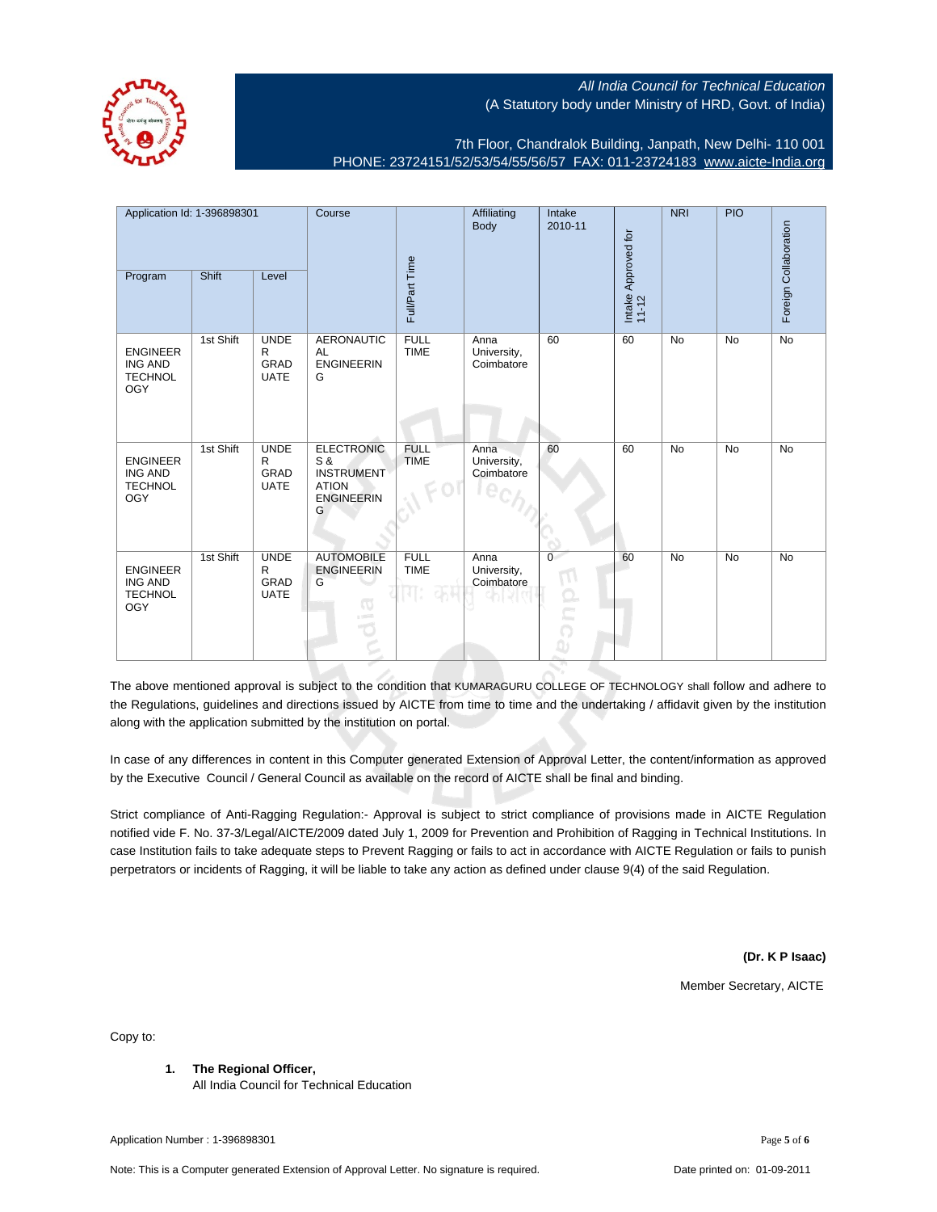7th Floor, Chandralok Building, Janpath, New Delhi- 110 001 PHONE: 23724151/52/53/54/55/56/57 FAX: 011-23724183 [www.aicte-India.org](http://www.aicte-India.org)

| Application Id: 1-396898301                                       |           | Course                                                    |                                                                                         | Affiliating<br>Body        | Intake<br>2010-11                 |                                            | <b>NRI</b>                   | <b>PIO</b> | Foreign Collaboration |           |
|-------------------------------------------------------------------|-----------|-----------------------------------------------------------|-----------------------------------------------------------------------------------------|----------------------------|-----------------------------------|--------------------------------------------|------------------------------|------------|-----------------------|-----------|
| Program                                                           | Shift     | Level                                                     |                                                                                         | Full/Part Time             |                                   |                                            | Intake Approved for<br>11-12 |            |                       |           |
| <b>ENGINEER</b><br><b>ING AND</b><br><b>TECHNOL</b><br><b>OGY</b> | 1st Shift | <b>UNDE</b><br>$\mathsf{R}$<br>GRAD<br><b>UATE</b>        | <b>AERONAUTIC</b><br><b>AL</b><br><b>ENGINEERIN</b><br>G                                | <b>FULL</b><br><b>TIME</b> | Anna<br>University,<br>Coimbatore | 60                                         | 60                           | <b>No</b>  | <b>No</b>             | No        |
| <b>ENGINEER</b><br><b>ING AND</b><br><b>TECHNOL</b><br><b>OGY</b> | 1st Shift | <b>UNDE</b><br>$\mathsf{R}$<br><b>GRAD</b><br><b>UATE</b> | <b>ELECTRONIC</b><br>S &<br><b>INSTRUMENT</b><br><b>ATION</b><br><b>ENGINEERIN</b><br>G | <b>FULL</b><br><b>TIME</b> | Anna<br>University,<br>Coimbatore | 60                                         | 60                           | <b>No</b>  | <b>No</b>             | <b>No</b> |
| <b>ENGINEER</b><br><b>ING AND</b><br><b>TECHNOL</b><br><b>OGY</b> | 1st Shift | <b>UNDE</b><br>R<br><b>GRAD</b><br><b>UATE</b>            | <b>AUTOMOBILE</b><br><b>ENGINEERIN</b><br>G<br>$\overline{\mathbb{C}}$<br>1875          | <b>FULL</b><br><b>TIME</b> | Anna<br>University,<br>Coimbatore | $\overline{0}$<br>$\cup$<br>$\Omega$<br>è. | 60                           | <b>No</b>  | <b>No</b>             | No        |

The above mentioned approval is subject to the condition that KUMARAGURU COLLEGE OF TECHNOLOGY shall follow and adhere to the Regulations, guidelines and directions issued by AICTE from time to time and the undertaking / affidavit given by the institution along with the application submitted by the institution on portal.

In case of any differences in content in this Computer generated Extension of Approval Letter, the content/information as approved by the Executive Council / General Council as available on the record of AICTE shall be final and binding.

Strict compliance of Anti-Ragging Regulation:- Approval is subject to strict compliance of provisions made in AICTE Regulation notified vide F. No. 37-3/Legal/AICTE/2009 dated July 1, 2009 for Prevention and Prohibition of Ragging in Technical Institutions. In case Institution fails to take adequate steps to Prevent Ragging or fails to act in accordance with AICTE Regulation or fails to punish perpetrators or incidents of Ragging, it will be liable to take any action as defined under clause 9(4) of the said Regulation.

**(Dr. K P Isaac)**

Member Secretary, AICTE

Copy to:

**1. The Regional Officer,**

All India Council for Technical Education

Application Number : 1-396898301 Page **5** of **6**